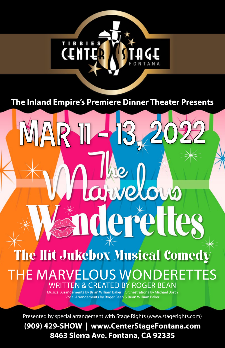

**The Inland Empire's Premiere Dinner Theater Presents**

AR

The Hit Jukebox Musical Comedy THE MARVELOUS WONDERETTES WRITTEN & CREATED BY ROGER BEAN

arvelous

lerettes

Musical Arrangements by Brian William Baker **Orchestrations by Michael Borth** Vocal Arrangements by Roger Bean & Brian William Baker

Presented by special arrangement with Stage Rights (www.stagerights.com)

**(909) 429-SHOW | www.CenterStageFontana.com 8463 Sierra Ave. Fontana, CA 92335**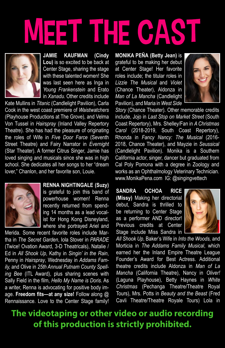## MEET THE CAST



**JAMIE KAUFMAN (Cindy Lou)** is so excited to be back at Center Stage, sharing the stage with these talented women! She was last seen here as Inga in *Young Frankenstein* and Erato in *Xanadu*. Other credits include

Kate Mullins in *Titanic* (Candlelight Pavilion), Carla Cook in the west coast premiere of *Waistwatchers* (Playhouse Productions at The Grove), and Velma Von Tussel in *Hairspray* (Inland Valley Repertory Theatre). She has had the pleasure of originating the roles of Wife in *Five Door Farce* (Seventh Street Theatre) and Fairy Narrator in *Evernight*  (Star Theater). A former Citrus Singer, Jamie has loved singing and musicals since she was in high school. She dedicates all her songs to her "dream lover," Chanlon, and her favorite son, Louie.



**RENNA NIGHTINGALE (Suzy)**

is grateful to join this band of powerhouse women! Renna recently returned from spending 14 months as a lead vocalist for Hong Kong Disneyland, where she portrayed Ariel and

Merida. Some recent favorite roles include Martha in *The Secret Garden*, Iola Stover in *PARADE*  (Twice! Ovation Award, 3-D Theatricals), Natalie / Ed in *All Shook Up*, Kathy in *Singin' in the Rain*, Penny in *Hairspray*, Wednesday in *Addams Family,* and Olive in *25th Annual Putnam County Spelling Bee* (ITL Award), plus sharing scenes with Sally Field in the film, *Hello My Name is Doris*. As a writer, Renna is advocating for positive body image. **Freedom fits—at any size!** Follow along @ Rennaissance. Love to the Center Stage family! **MONIKA PEÑA (Betty Jean)** is grateful to be making her debut at Center Stage! Her favorite roles include; the titular roles in *Lizzie The Musical* and *Violet*  (Chance Theater), Aldonza in *Man of La Mancha* (Candlelight Pavilion), and Maria in *West Side* 



*Story* (Chance Theater). Other memorable credits include, Jojo in *Last Stop on Market Street* (South Coast Repertory), Mrs. Shelley/Fan in *A Christmas Carol* (2018-2019, South Coast Repertory), Rhonda in *Fancy Nancy: The Musical* (2016- 2018, Chance Theater), and Mayzie in *Seussical*  (Candlelight Pavilion). Monika is a Southern California actor, singer, dancer but graduated from Cal Poly Pomona with a degree in Zoology and works as an Ophthalmology Veterinary Technician. www.MonikaPena.com IG: @singingvettech

**SANDRA OCHOA RICE (Missy)** Making her directorial debut, Sandra is thrilled to be returning to Center Stage as a performer AND director! Previous credits at Center Stage include Miss Sandra in



*All Shook Up*, Baker's Wife in *Into the Woods,* and Morticia in *The Addams Family Musical*, which earned her the Inland Empire Theatre League Founder's Award for Best Actress. Additional theatre credits include Aldonza in *Man of La Mancha* (California Theatre), Nancy in *Oliver!* (Laguna Playhouse), Betty Haynes in *White Christmas* (Pechanga Theatre/Theatre Royal Tours), Mrs. Potts in *Beauty and the Beast* (Fred Cavli Theatre/Theatre Royale Tours) Lola in

## **The videotaping or other video or audio recording of this production is strictly prohibited.**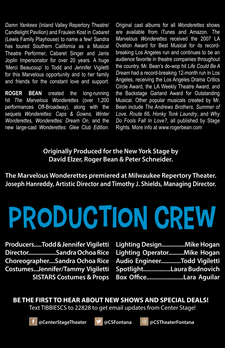*Damn Yankees* (Inland Valley Repertory Theatre/ Candlelight Pavilion) and Fraulein Kost in *Cabaret* (Lewis Family Playhouse) to name a few! Sandra has toured Southern California as a Musical Theatre Performer, Cabaret Singer and Janis Joplin Impersonator for over 20 years. A huge 'Merci Beaucoup' to Todd and Jennifer Vigiletti for this Marvelous opportunity and to her family and friends for the constant love and support.

**ROGER BEAN** created the long-running hit *The Marvelous Wonderettes* (over 1,200 performances Off-Broadway), along with the sequels *Wonderettes: Caps & Gowns, Winter Wonderettes, Wonderettes: Dream On*, and the new large-cast *Wonderettes: Glee Club Edition*.

Original cast albums for all *Wonderettes* shows are available from iTunes and Amazon. *The Marvelous Wonderettes* received the 2007 LA Ovation Award for Best Musical for its recordbreaking Los Angeles run and continues to be an audience favorite in theatre companies throughout the country. Mr. Bean's do-wop hit *Life Could Be A Dream* had a record-breaking 12-month run in Los Angeles, receiving the Los Angeles Drama Critics Circle Award, the LA Weekly Theatre Award, and the Backstage Garland Award for Outstanding Musical. Other popular musicals created by Mr. Bean include *The Andrews Brothers*, *Summer of Love, Route 66, Honky Tonk Laundry*, and *Why Do Fools Fall In Love?*, all published by Stage Rights. More info at www.rogerbean.com

**Originally Produced for the New York Stage by David Elzer, Roger Bean & Peter Schneider.**

**The Marvelous Wonderettes premiered at Milwaukee Repertory Theater. Joseph Hanreddy, Artistic Director and Timothy J. Shields, Managing Director.**

## **PRODUCTION CREW**

**Producers.....Todd & Jennifer Vigiletti Director..................Sandra Ochoa Rice Choreographer....Sandra Ochoa Rice Costumes...Jennifer/Tammy Vigiletti SISTARS Costumes & Props** **Lighting Design...............Mike Hogan Lighting Operator..........Mike Hogan Audio Engineer.............Todd Vigiletti Spotlight.................Laura Budnovich Box Office.......................Lara Aguilar**

**BE THE FIRST TO HEAR ABOUT NEW SHOWS AND SPECIAL DEALS!** Text TIBBIESCS to 22828 to get email updates from Center Stage!



**@CenterStageTheater @CSFontana @CSTheaterFontana**